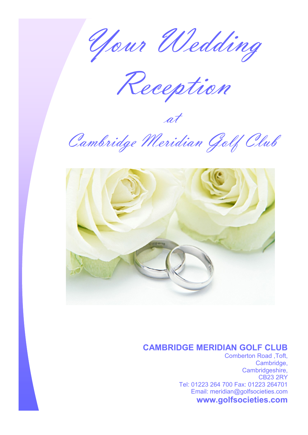Your Wedding

Reception

at

Cambridge Meridian Golf Club



# **CAMBRIDGE MERIDIAN GOLF CLUB**

Comberton Road ,Toft, Cambridge, Cambridgeshire, CB23 2RY Tel: 01223 264 700 Fax: 01223 264701 Email: meridian@golfsocieties.com **www.golfsocieties.com**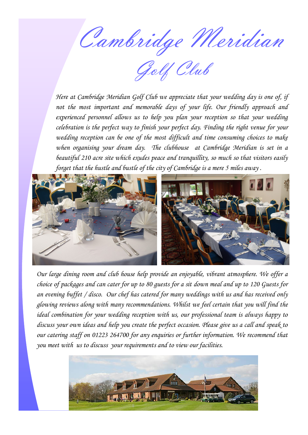Cambridge Meridian

Golf Club

*Here at Cambridge Meridian Golf Club we appreciate that your wedding day is one of, if not the most important and memorable days of your life. Our friendly approach and experienced personnel allows us to help you plan your reception so that your wedding celebration is the perfect way to finish your perfect day. Finding the right [venue](http://www.leisure.wybostonlakes.co.uk/celebrations/weddings/weddings.html) for your wedding reception can be one of the most difficult and time consuming choices to make when organising your dream day. The clubhouse at Cambridge Meridian is set in a beautiful 210 acre site which exudes peace and tranquillity, so much so that visitors easily forget that the hustle and bustle of the city of Cambridge is a mere 5 miles away .*



*Our large dining room and club house help provide an enjoyable, vibrant atmosphere. We offer a choice of packages and can cater for up to 80 guests for a sit down meal and up to 120 Guests for an evening buffet / disco. Our chef has catered for many weddings with us and has received only glowing reviews along with many recommendations. Whilst we feel certain that you will find the ideal combination for your wedding reception with us, our professional team is always happy to discuss your own ideas and help you create the perfect occasion. Please give us a call and speak to our catering staff on 01223 264700 for any enquiries or further information. We recommend that you meet with us to discuss your requirements and to view our facilities.* 

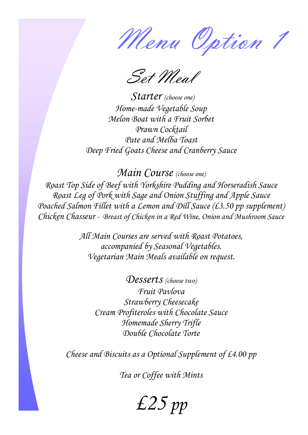Menu Option 1

Set Meal

*Starter (choose one) Home-made Vegetable Soup Melon Boat with a Fruit Sorbet Prawn Cocktail Pate and Melba Toast Deep Fried Goats Cheese and Cranberry Sauce*

*Main Course (choose one) Roast Top Side of Beef with Yorkshire Pudding and Horseradish Sauce Roast Leg of Pork with Sage and Onion Stuffing and Apple Sauce Poached Salmon Fillet with a Lemon and Dill Sauce (£3.50 pp supplement) Chicken Chasseur - Breast of Chicken in a Red Wine, Onion and Mushroom Sauce*

> *All Main Courses are served with Roast Potatoes, accompanied by Seasonal Vegetables. Vegetarian Main Meals available on request.*

> > *Desserts (choose two) Fruit Pavlova Strawberry Cheesecake Cream Profiteroles with Chocolate Sauce Homemade Sherry Trifle Double Chocolate Torte*

*Cheese and Biscuits as a Optional Supplement of £4.00 pp*

*Tea or Coffee with Mints*

*£25 pp*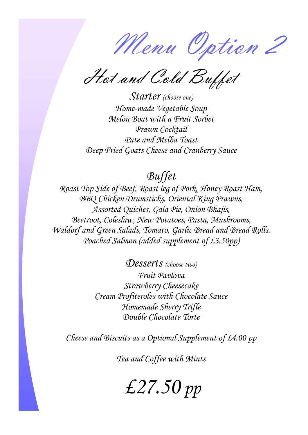Menu Option 2

Hot and Cold Buffet

*Starter (choose one) Home-made Vegetable Soup Melon Boat with a Fruit Sorbet Prawn Cocktail Pate and Melba Toast Deep Fried Goats Cheese and Cranberry Sauce*

# *Buffet*

*Roast Top Side of Beef, Roast leg of Pork, Honey Roast Ham, BBQ Chicken Drumsticks, Oriental King Prawns, Assorted Quiches, Gala Pie, Onion Bhajis, Beetroot, Coleslaw, New Potatoes, Pasta, Mushrooms, Waldorf and Green Salads, Tomato, Garlic Bread and Bread Rolls. Poached Salmon (added supplement of £3.50pp)*

> *Desserts (choose two) Fruit Pavlova Strawberry Cheesecake Cream Profiteroles with Chocolate Sauce Homemade Sherry Trifle Double Chocolate Torte*

*Cheese and Biscuits as a Optional Supplement of £4.00 pp*

*Tea and Coffee with Mints*

*£27.50 pp*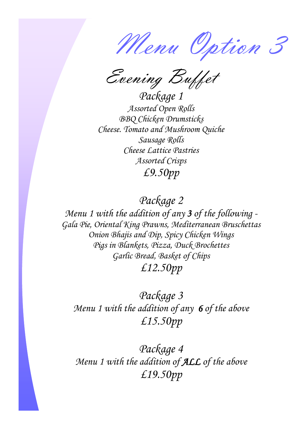Menu Option 3

Evening Buffet

*Package 1 Assorted Open Rolls BBQ Chicken Drumsticks Cheese. Tomato and Mushroom Quiche Sausage Rolls Cheese Lattice Pastries Assorted Crisps £9.50pp*

*Package 2*

*Menu 1 with the addition of any 3 of the following - Gala Pie, Oriental King Prawns, Mediterranean Bruschettas Onion Bhajis and Dip, Spicy Chicken Wings Pigs in Blankets, Pizza, Duck Brochettes Garlic Bread, Basket of Chips £12.50pp*

*Package 3 Menu 1 with the addition of any 6 of the above £15.50pp*

*Package 4 Menu 1 with the addition of ALL of the above £19.50pp*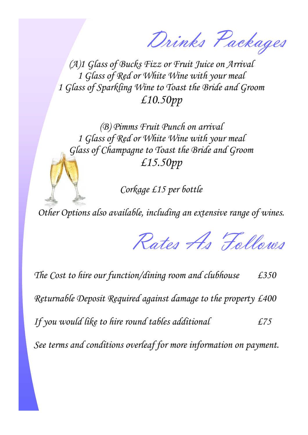Drinks Packages

*(A)1 Glass of Bucks Fizz or Fruit Juice on Arrival 1 Glass of Red or White Wine with your meal 1 Glass of Sparkling Wine to Toast the Bride and Groom £10.50pp*

*(B) Pimms Fruit Punch on arrival 1 Glass of Red or White Wine with your meal Glass of Champagne to Toast the Bride and Groom £15.50pp*

*Corkage £15 per bottle* 

*Other Options also available, including an extensive range of wines.*

Rates As Follows

*The Cost to hire our function/dining room and clubhouse £350 Returnable Deposit Required against damage to the property £400 If you would like to hire round tables additional £75 See terms and conditions overleaf for more information on payment.*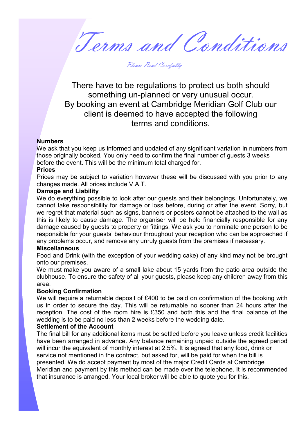Terms and Conditions

Please Read Carefully

There have to be regulations to protect us both should something un-planned or very unusual occur. By booking an event at Cambridge Meridian Golf Club our client is deemed to have accepted the following terms and conditions.

# **Numbers**

We ask that you keep us informed and updated of any significant variation in numbers from those originally booked. You only need to confirm the final number of guests 3 weeks before the event. This will be the minimum total charged for.

#### **Prices**

Prices may be subject to variation however these will be discussed with you prior to any changes made. All prices include V.A.T.

# **Damage and Liability**

We do everything possible to look after our guests and their belongings. Unfortunately, we cannot take responsibility for damage or loss before, during or after the event. Sorry, but we regret that material such as signs, banners or posters cannot be attached to the wall as this is likely to cause damage. The organiser will be held financially responsible for any damage caused by guests to property or fittings. We ask you to nominate one person to be responsible for your guests' behaviour throughout your reception who can be approached if any problems occur, and remove any unruly guests from the premises if necessary.

# **Miscellaneous**

Food and Drink (with the exception of your wedding cake) of any kind may not be brought onto our premises.

We must make you aware of a small lake about 15 yards from the patio area outside the clubhouse. To ensure the safety of all your guests, please keep any children away from this area.

# **Booking Confirmation**

We will require a returnable deposit of £400 to be paid on confirmation of the booking with us in order to secure the day. This will be returnable no sooner than 24 hours after the reception. The cost of the room hire is £350 and both this and the final balance of the wedding is to be paid no less than 2 weeks before the wedding date.

# **Settlement of the Account**

The final bill for any additional items must be settled before you leave unless credit facilities have been arranged in advance. Any balance remaining unpaid outside the agreed period will incur the equivalent of monthly interest at 2.5%. It is agreed that any food, drink or service not mentioned in the contract, but asked for, will be paid for when the bill is presented. We do accept payment by most of the major Credit Cards at Cambridge Meridian and payment by this method can be made over the telephone. It is recommended that insurance is arranged. Your local broker will be able to quote you for this.